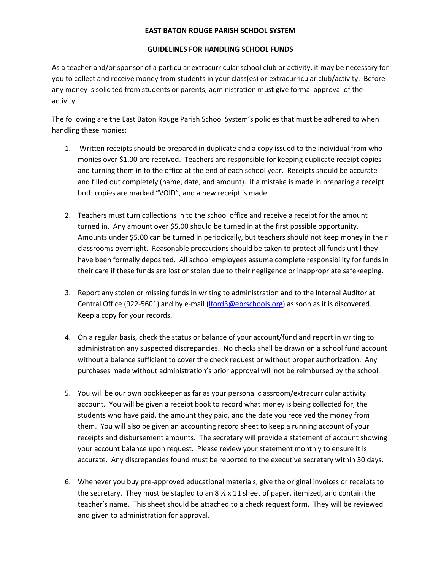## **EAST BATON ROUGE PARISH SCHOOL SYSTEM**

## **GUIDELINES FOR HANDLING SCHOOL FUNDS**

As a teacher and/or sponsor of a particular extracurricular school club or activity, it may be necessary for you to collect and receive money from students in your class(es) or extracurricular club/activity. Before any money is solicited from students or parents, administration must give formal approval of the activity.

The following are the East Baton Rouge Parish School System's policies that must be adhered to when handling these monies:

- 1. Written receipts should be prepared in duplicate and a copy issued to the individual from who monies over \$1.00 are received. Teachers are responsible for keeping duplicate receipt copies and turning them in to the office at the end of each school year. Receipts should be accurate and filled out completely (name, date, and amount). If a mistake is made in preparing a receipt, both copies are marked "VOID", and a new receipt is made.
- 2. Teachers must turn collections in to the school office and receive a receipt for the amount turned in. Any amount over \$5.00 should be turned in at the first possible opportunity. Amounts under \$5.00 can be turned in periodically, but teachers should not keep money in their classrooms overnight. Reasonable precautions should be taken to protect all funds until they have been formally deposited. All school employees assume complete responsibility for funds in their care if these funds are lost or stolen due to their negligence or inappropriate safekeeping.
- 3. Report any stolen or missing funds in writing to administration and to the Internal Auditor at Central Office (922-5601) and by e-mail [\(lford3@ebrschools.org\)](mailto:lford3@ebrschools.org) as soon as it is discovered. Keep a copy for your records.
- 4. On a regular basis, check the status or balance of your account/fund and report in writing to administration any suspected discrepancies. No checks shall be drawn on a school fund account without a balance sufficient to cover the check request or without proper authorization. Any purchases made without administration's prior approval will not be reimbursed by the school.
- 5. You will be our own bookkeeper as far as your personal classroom/extracurricular activity account. You will be given a receipt book to record what money is being collected for, the students who have paid, the amount they paid, and the date you received the money from them. You will also be given an accounting record sheet to keep a running account of your receipts and disbursement amounts. The secretary will provide a statement of account showing your account balance upon request. Please review your statement monthly to ensure it is accurate. Any discrepancies found must be reported to the executive secretary within 30 days.
- 6. Whenever you buy pre-approved educational materials, give the original invoices or receipts to the secretary. They must be stapled to an  $8 \frac{1}{2} \times 11$  sheet of paper, itemized, and contain the teacher's name. This sheet should be attached to a check request form. They will be reviewed and given to administration for approval.